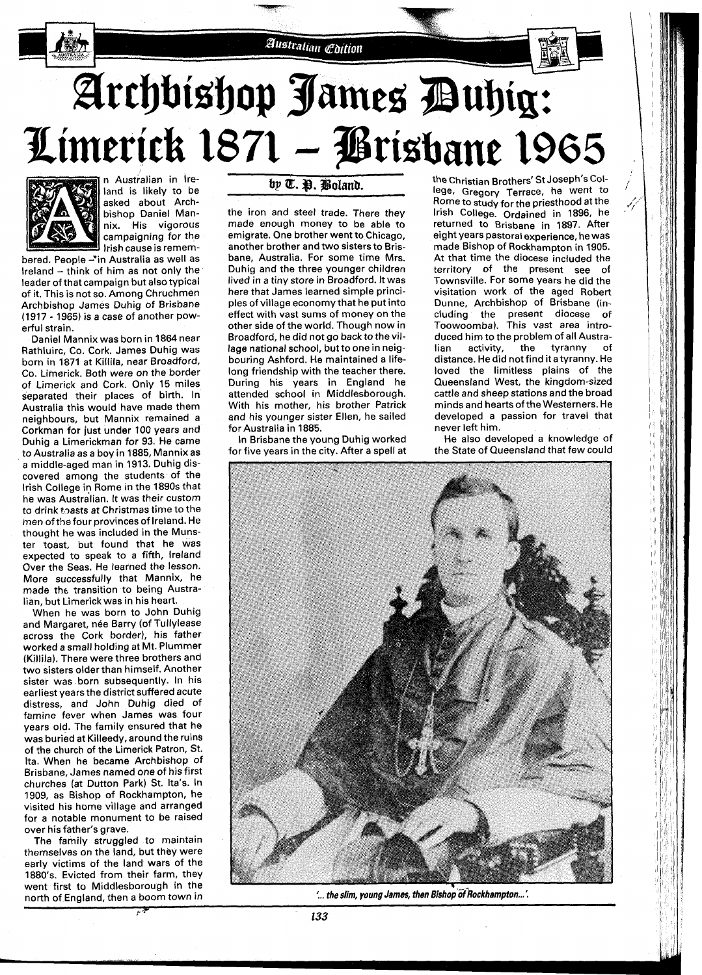## Australian Coition

# Archbishop James Duhig: Limerick 1871 – Prisbane 1965



n Australian in Ireland is likely to be asked about Archbishop Daniel Mannix. His vigorous campaigning for the lrish cause is remem-

bered. People -\*in Australia as well as Ireland  $-$  think of him as not only the leader of that campaign but also typical of it. This is not so. Among Chruchmen Archbishop James Duhig of Brisbane (1917 - 1965) is a case of another powerful strain.

Daniel Mannix was born in 1864 near Rathluirc, Co. Cork. James Duhig was born in 1871 at Killila, near Broadford, Co. Limerick. Both were on the border of Limerick and Cork. Only 15 miles separated their places of birth. In Australia this would have made them neighbours, but Mannix remained a Corkman for just under 100 years and Duhig a Limerickman for 93. He came to Australia as a boy in 1885, Mannix as a middle-aged man in 1913. Duhig discovered among the students of the lrish College in Rome in the 1890s that he was Australian. It was their custom to drink toasts at Christmas time to the men of the four provinces of Ireland. He thought he was included in the Munster toast, but found that he was expected to speak to a fifth, Ireland Over the Seas. He learned the lesson. More successfully that Mannix, he made the transition to being Australian, but Limerickwas in his heart.

When he was born to John Duhig and Margaret, née Barry (of Tullylease across the Cork border), his father worked a small holding at Mt. Plummer (Killila). There were three brothers and two sisters older than himself. Another sister was born subsequently. In his earliest years the district suffered acute distress, and John Duhig died of famine fever when James was four years old. The family ensured that he was buried at Killeedy, around the ruins of the church of the Limerick Patron, St. Ita. When he became Archbishop of Brisbane, James named one of his first churches (at Dutton Park) St. Ita's. In 1909, as Bishop of Rockhampton, he visited his home village and arranged for a notable monument to be raised over his father's grave.

The family struggled to maintain themselves on the land, but they were early victims of the land wars of the 1880's. Evicted from their farm, they went first to Middlesborough in the north of England, then a boom town in

### by T. D. Boland.

the iron and steel trade. There they made enough money to be able to emigrate. One brother went **to** Chicago, another brother and two sisters to Brisbane, Australia. For some time Mrs. Duhig and the three younger children lived in a tiny store in Broadford. It was here that James learned simple principles of village economy that he put into effect with vast sums of money on the other side of the world. Though now in Broadford, he did not go back to thevillage national school, but to one in neigbouring Ashford. He maintained a lifelong friendship with the teacher there. During his years in England he attended school in Middlesborough. With his mother, his brother Patrick and his younger sister Ellen, he sailed for Australia in 1885.

In Brisbane the young Duhig worked for five years in the city. After a spell at the Christian Brothers' St Joseph's College. Gregory Terrace, he went to Rome to study for the priesthood at the lrish College. Ordained in 1896, he returned to Brisbane in 1897. After eight years pastoral experience, he was made Bishop of Rockhampton in 1905. At that time the diocese included the territory of the present see of Townsville. For some years he did the visitation work of the aged Robert Dunne, Archbishop of Brisbane (in-<br>cluding the present diocese of cluding the present diocese Toowoomba). This vast area introduced him to the problem of all Austra-<br>lian activity, the tyranny of activity, the distance. He did not find it a tyranny. He loved the limitless plains of the Queensland West, the kingdom-sized cattle and sheep stations and the broad minds and hearts of the Westerners. He developed a passion for travel that never left him.

He also developed a knowledge of the State of Queensland that few could



'... the slim, young James, then Bishop of Rockhampton...'.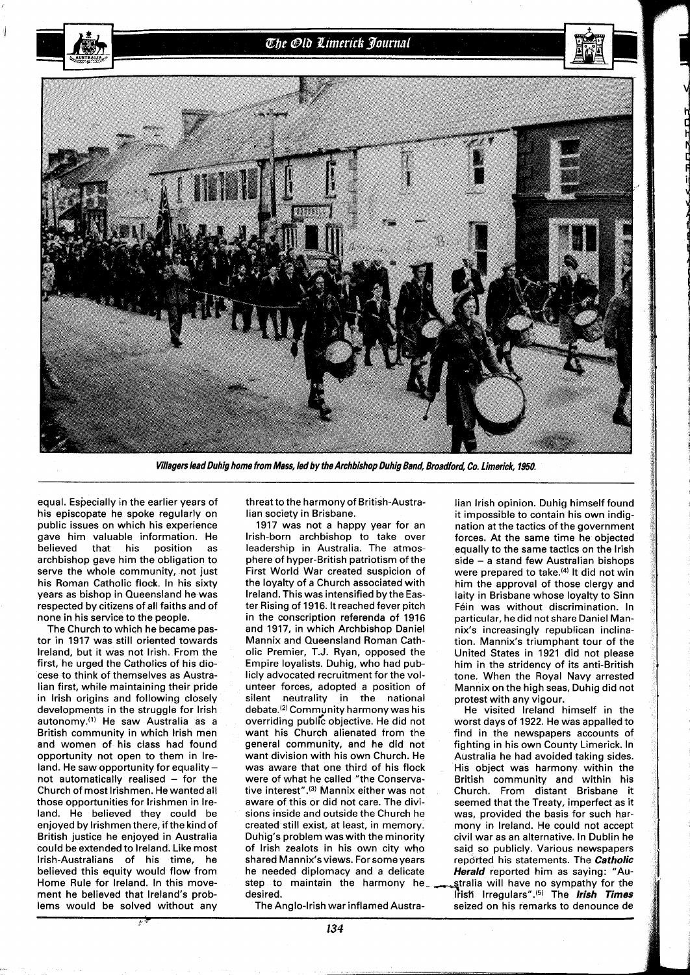



**Villagers lead Duhig home from Mass, led by the Archbishop Duhig Band, Broadford, Co. Limerick, 1950.** 

equal. Especially in the earlier years of his episcopate he spoke regularly on public issues on which his experience gave him valuable information. He believed that his position as archbishop gave him the obligation to serve the whole community, not just his Roman Catholic flock. In his sixty years as bishop in Queensland he was respected by citizens of all faiths and of none in his service to the people.

The Church to which he became pastor in **1917** was still oriented towards Ireland, but it was not Irish. From the first, he urged the Catholics of his diocese to think of themselves as Australian first, while maintaining their pride in lrish origins and following closely developments in the struggle for lrish autonomy.'') He saw Australia as a British community in which lrish men and women of his class had found opportunity not open to them in Ireland. He saw opportunity for equality not automatically realised  $-$  for the Church of most Irishmen. Hewanted all those opportunities for lrishmen in Ireland. He believed they could be enjoyed by lrishmen there, if the kind of British justice he enjoyed in Australia could be extended to Ireland. Like most Irish-Australians of his time, he believed this equity would flow from<br>Home Rule for Ireland. In this move-Home Rule for Ireland. In this move- step to maintain the harmony he- stralia will have no sympathy for the ment he believed that Ireland's prob- desired. lems would be solved without any The Anglo-Irish war inflamed Austra- seized on his remarks to denounce de

**<sup>c</sup>**.r

threat to the harmony of British-Australian society in Brisbane.

**1917** was not a happy year for an Irish-born archbishop to take over leadership in Australia. The atmosphere of hyper-British patriotism of the First World War created suspicion of the loyalty of a Church associated with Ireland. This was intensified by the Easter Rising of **1916.** It reached fever pitch in the conscription referenda of **1916**  and **1917,** in which Archbishop Daniel Mannix and Queensland Roman Catholic Premier, T.J. Ryan, opposed the Empire loyalists. Duhig, who had publicly advocated recruitment for the volunteer forces, adopted a position of silent neutrality in the national debate.<sup>(2)</sup> Community harmony was his overriding public objective. He did not want his Church alienated from the general community, and he did not want division with his own Church. He was aware that one third of his flock were of what he called "the Conservative interest".<sup>(3)</sup> Mannix either was not aware of this or did not care. The divisions inside and outside the Church he created still exist, at least, in memory. Duhig's problem was with the minority of lrish zealots in his own city who shared Mannix'sviews. For some years he needed diplomacy and a delicate desired. **The believe of the believe that Irish irregulars** <sup>(5)</sup> The **Irish Times Contract Times I** 

lian lrish opinion. Duhig himself found it impossible to contain his own indignation at the tactics of the government forces. At the same time he objected equally to the same tactics on the lrish side - a stand few Australian bishops were prepared to take.<sup>(4)</sup> It did not win him the approval of those clergy and laity in Brisbane whose loyalty to Sinn Féin was without discrimination. In particular, he did not share Daniel Mannix's increasingly republican inclination. Mannix's triumphant tour of the United States in **1921** did not please him in the stridency of its anti-British tone. When the Royal Navy arrested Mannix on the high seas, Duhig did not protest with any vigour.

He visited Ireland himself in the worst days of **1922.** He was appalled to find in the newspapers accounts of fighting in his own County Limerick. In Australia he had avoided taking sides. His object was harmony within the British community and within his Church. From distant Brisbane it seemed that the Treaty, imperfect as it was, provided the basis for such harmony in Ireland. He could not accept civil war as an alternative. In Dublin he said so publicly. Various newspapers reported his statements. The **Catholic Herald** reported him as savinq: "Au-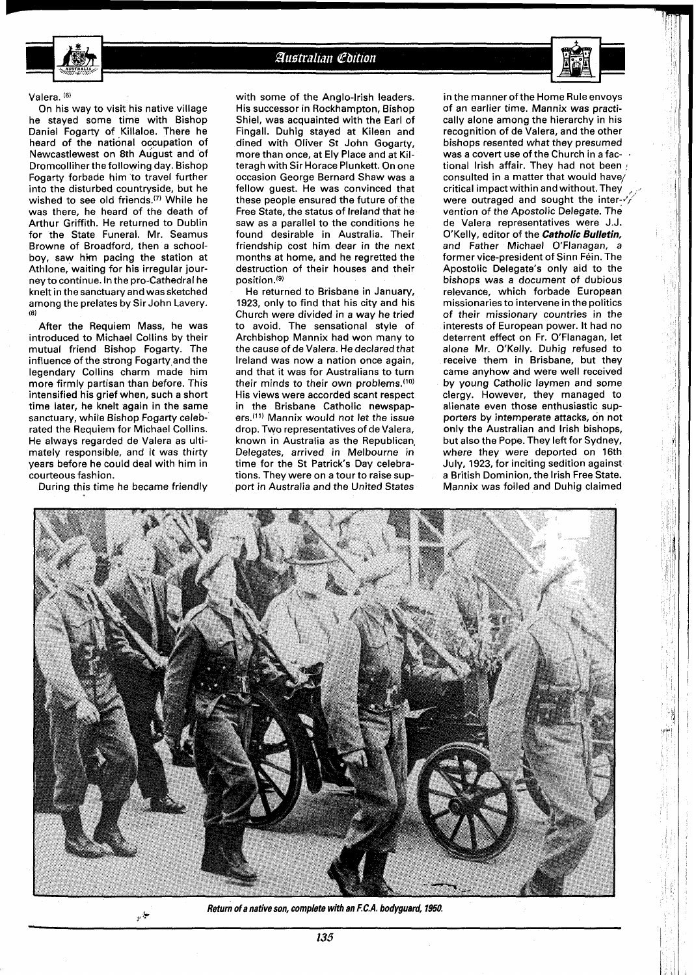

#### Australian Coition

#### Valera. **16)**

On his way to visit his native village he stayed some time with Bishop Daniel Fogarty of Killaloe. There he heard of the national occupation of Newcastlewest on 8th August and of Dromcolliher the following day. Bishop Fogarty forbade him to travel further into the disturbed countryside, but he wished to see old friends.<sup>(7)</sup> While he was there, he heard of the death of Arthur Griffith. He returned to Dublin for the State Funeral. Mr. Seamus Browne of Broadford, then a schoolboy, saw him pacing the station at Athlone, waiting for his irregular journey to continue. In the pro-Cathedral he knelt in the sanctuary and was sketched among the prelates by Sir John Lavery. **(8)** 

After the Requiem Mass, he was introduced to Michael Collins by their mutual friend Bishop Fogarty. The influence of the strong Fogarty and the legendary Collins charm made him more firmly partisan than before. This intensified his grief when, such a short time later, he knelt again in the same sanctuary, while Bishop Fogarty celebrated the Requiem for Michael Collins. He always regarded de Valera as ultimately responsible, and it was thirty years before he could deal with him in courteous fashion.

During this time he became friendly

with some of the Anglo-Irish leaders. His successor in Rockhampton, Bishop Shiel, was acquainted with the Earl of Fingall. Duhig stayed at Kileen and dined with Oliver St John Gogarty, more than once, at Ely Place and at Kilteragh with Sir Horace Plunkett. On one occasion George Bernard Shaw was a fellow guest. He was convinced that these people ensured the future of the Free State, the status of Ireland that he saw as a parallel to the conditions he found desirable in Australia. Their friendship cost him dear in the next months at home, and he regretted the destruction of their houses and their position.<sup>(9)</sup>

He returned to Brisbane in January, 1923, only to find that his city and his Church were divided in a way he tried to avoid. The sensational style of Archbishop Mannix had won many to the cause of de Valera. Hedeclared that Ireland was now a nation once again, and that it was for Australians to turn their minds to their own problems.<sup>(10)</sup> His views were accorded scant respect in the Brisbane Catholic newspapers.<sup>(11)</sup> Mannix would not let the issue drop. Two representatives of de Valera, known in Australia as the Republican, Delegates, arrived in Melbourne in time for the St Patrick's Day celebrations. They were on a tour to raise support in Australia and the United States

in the manner of the Home Rule envoys of an earlier time. Mannix was practically alone among the hierarchy in his recognition of de Valera, and the other bishops resented what they presumed was a covert use of the Church in a fac-<br>tional Irish affair. They had not been consulted in a matter that would have/ critical impact within and without. They were outraged and sought the inter- $\cdot$ vention of the Apostolic Delegate. The de Valera representatives were J.J. O'Kelly, editor of the **Catholic Bulletin,**  and Father Michael O'Flanagan, a former vice-president of Sinn Féin. The Apostolic Delegate's only aid to the bishops was a document of dubious relevance, which forbade European missionaries to intervene in the politics of their missionary countries in the interests of European power. It had no deterrent effect on Fr. O'Flanagan, let alone Mr. O'Kelly. Duhig refused to receive them in Brisbane, but they came anyhow and were well received by young Catholic laymen and some clergy. However, they managed to alienate even those enthusiastic supporters by intemperate attacks, on not only the Australian and lrish bishops, but also the Pope. They left for Sydney, where they were deported on 16th July, 1923, for inciting sedition against a British Dominion, the lrish Free State. Mannix was foiled and Duhig claimed



**Return of a native son, complete with an F.C.A. bodyguard, 1950, t**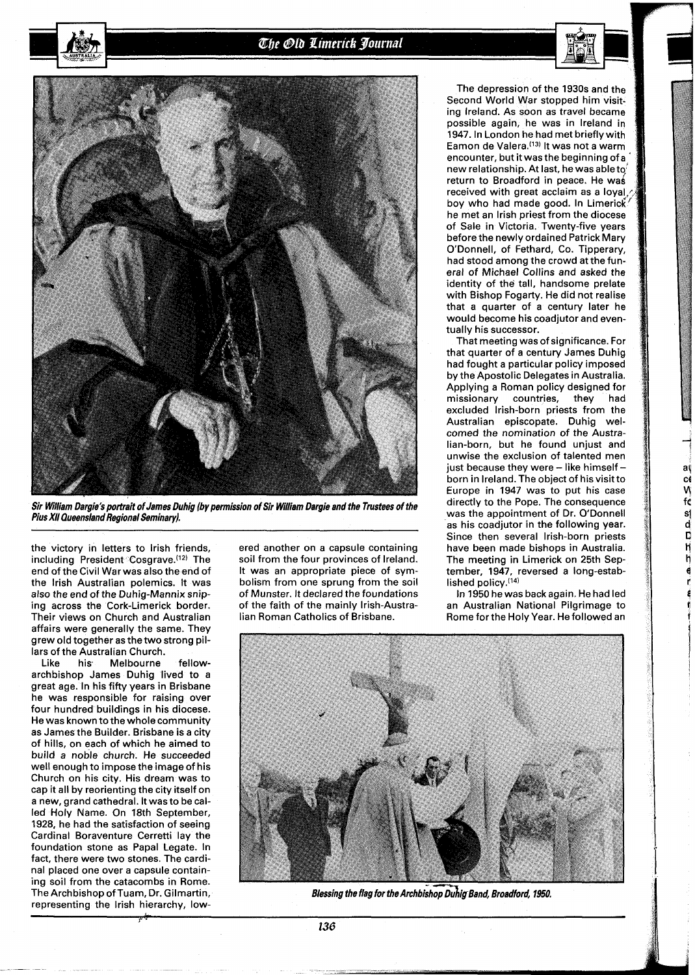The Old Limerick Journal



**Sir Wiliam Dargie's portrait of James Duhig (by permission of Sir William Dargie and the Trustees of the Pius XI1 Queensland Regional Seminary).** 

the victory in letters to lrish friends, including President Cosgrave.<sup>(12)</sup> The end of the Civil War was also the end of the lrish Australian polemics. It was also the end of the Duhig-Mannix sniping across the Cork-Limerick border. Their views on Church and Australian affairs were generally the same. They grew old together as the two strong pillars of the Australian Church.

Like his Melbourne fellowarchbishop James Duhig lived to a great age. In his fifty years in Brisbane he was responsible for raising over four hundred buildings in his diocese. He was known to the whole community as James the Builder. Brisbane is a city of hills, on each of which he aimed to build a noble church. He succeeded well enough to impose the image of his Church on his city. His dream was to cap it all by reorienting the city itself on a new, grand cathedral. It was to be called Holy Name. On 18th September, 1928, he had the satisfaction of seeing Cardinal Boraventure Cerretti lay the foundation stone as Papal Legate. In fact, there were two stones. The cardinal placed one over a capsule containing soil from the catacombs in Rome. The Archbishop of Tuam, Dr. Gilmartin, representing the lrish hierarchy, lowered another on a capsule containing soil from the four provinces of Ireland. It was an appropriate piece of symbolism from one sprung from the soil of Munster. It declared the foundations of the faith of the mainly Irish-Australian Roman Catholics of Brisbane.

The depression of the 1930s and Second World War stopped him visiting Ireland. As soon as travel beca possible again, he was in Ireland 1947. In London he had met briefly wi Eamon de Valera.'13) It was not a warm encounter, but it was the beginning of a new relationship. At last, he was able to return to Broadford in peace. He was received with great acclaim as a loyal. boy who had made good. In Limerick he met an lrish priest from the of Sale in Victoria. Twenty-fiv before the newly ordained Patrick Mary O'Donnell, of Fethard, Co. Tipperary, had stood among the crowd at the funeral of Michael Collins and asked the identity of the tall, handsome prelate with Bishop Fogarty. He did not realise that a quarter of a century later he would become his coadjutor and eventually his successor.

That meeting was of significance. For that quarter of a century James Duhig had fought a particular policy imposed by the Apostolic Delegates in Australia. Applying a Roman policy designed for<br>missionary countries. they had missionary countries, they excluded Irish-born priests from the Australian episcopate. Duhig welcomed the nomination of the Australian-born, but he found unjust and unwise the exclusion of talented men just because they were  $-$  like himself  $$ born in Ireland. The object of his visit to Europe in 1947 was to put his case directly to the Pope. The consequence was the appointment of Dr. O'Donnell as his coadjutor in the following year. Since then several Irish-born priests have been made bishops in Australia. The meeting in Limerick on 25th September, 1947, reversed a long-established policy.(14)

a co  $\tilde{M}$ fé

e<br>A<br>J<br>T<br>H<br>I<br>O<br>D<br>A<br>i<br>D<br>i<br>D<br>i<br>I<br>I<br>I<br>I<br>I<br>I<br>

In 1950 he was back again. He had led an Australian National Pilgrimage to Rome for the Holy Year. He followed an



**Blessing the flag for the Archbishop Duhig Band, Broadford, 1950.** 

136